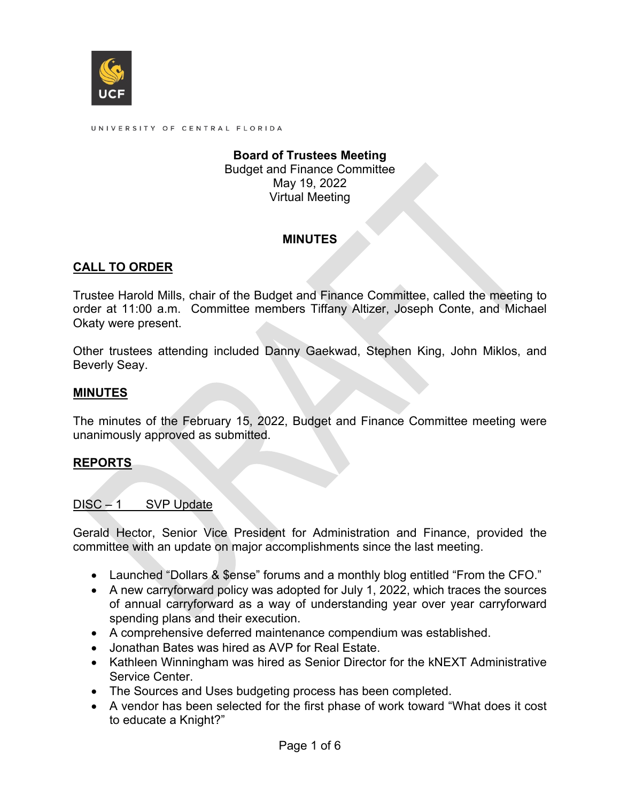

UNIVERSITY OF CENTRAL FLORIDA

#### **Board of Trustees Meeting** Budget and Finance Committee May 19, 2022 Virtual Meeting

#### **MINUTES**

### **CALL TO ORDER**

Trustee Harold Mills, chair of the Budget and Finance Committee, called the meeting to order at 11:00 a.m. Committee members Tiffany Altizer, Joseph Conte, and Michael Okaty were present.

Other trustees attending included Danny Gaekwad, Stephen King, John Miklos, and Beverly Seay.

#### **MINUTES**

The minutes of the February 15, 2022, Budget and Finance Committee meeting were unanimously approved as submitted.

#### **REPORTS**

#### DISC – 1 SVP Update

Gerald Hector, Senior Vice President for Administration and Finance, provided the committee with an update on major accomplishments since the last meeting.

- Launched "Dollars & \$ense" forums and a monthly blog entitled "From the CFO."
- A new carryforward policy was adopted for July 1, 2022, which traces the sources of annual carryforward as a way of understanding year over year carryforward spending plans and their execution.
- A comprehensive deferred maintenance compendium was established.
- Jonathan Bates was hired as AVP for Real Estate.
- Kathleen Winningham was hired as Senior Director for the kNEXT Administrative Service Center.
- The Sources and Uses budgeting process has been completed.
- A vendor has been selected for the first phase of work toward "What does it cost to educate a Knight?"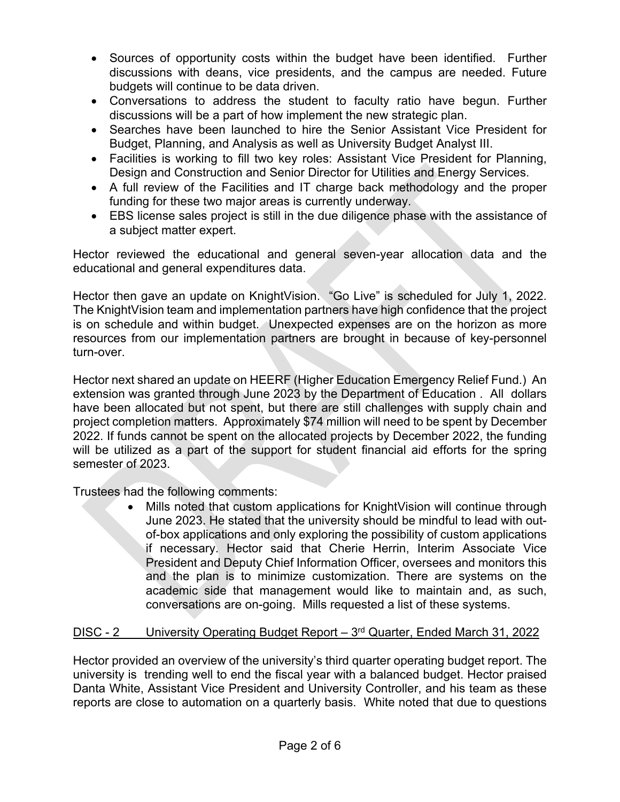- Sources of opportunity costs within the budget have been identified. Further discussions with deans, vice presidents, and the campus are needed. Future budgets will continue to be data driven.
- Conversations to address the student to faculty ratio have begun. Further discussions will be a part of how implement the new strategic plan.
- Searches have been launched to hire the Senior Assistant Vice President for Budget, Planning, and Analysis as well as University Budget Analyst III.
- Facilities is working to fill two key roles: Assistant Vice President for Planning, Design and Construction and Senior Director for Utilities and Energy Services.
- A full review of the Facilities and IT charge back methodology and the proper funding for these two major areas is currently underway.
- EBS license sales project is still in the due diligence phase with the assistance of a subject matter expert.

Hector reviewed the educational and general seven-year allocation data and the educational and general expenditures data.

Hector then gave an update on KnightVision. "Go Live" is scheduled for July 1, 2022. The KnightVision team and implementation partners have high confidence that the project is on schedule and within budget. Unexpected expenses are on the horizon as more resources from our implementation partners are brought in because of key-personnel turn-over.

Hector next shared an update on HEERF (Higher Education Emergency Relief Fund.) An extension was granted through June 2023 by the Department of Education . All dollars have been allocated but not spent, but there are still challenges with supply chain and project completion matters. Approximately \$74 million will need to be spent by December 2022. If funds cannot be spent on the allocated projects by December 2022, the funding will be utilized as a part of the support for student financial aid efforts for the spring semester of 2023.

Trustees had the following comments:

• Mills noted that custom applications for KnightVision will continue through June 2023. He stated that the university should be mindful to lead with outof-box applications and only exploring the possibility of custom applications if necessary. Hector said that Cherie Herrin, Interim Associate Vice President and Deputy Chief Information Officer, oversees and monitors this and the plan is to minimize customization. There are systems on the academic side that management would like to maintain and, as such, conversations are on-going. Mills requested a list of these systems.

# DISC - 2 University Operating Budget Report – 3<sup>rd</sup> Quarter, Ended March 31, 2022

Hector provided an overview of the university's third quarter operating budget report. The university is trending well to end the fiscal year with a balanced budget. Hector praised Danta White, Assistant Vice President and University Controller, and his team as these reports are close to automation on a quarterly basis. White noted that due to questions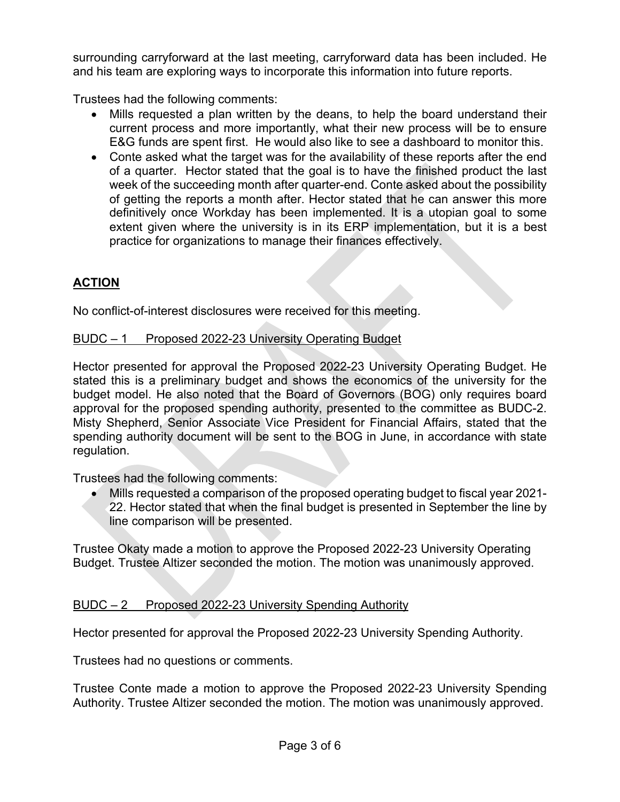surrounding carryforward at the last meeting, carryforward data has been included. He and his team are exploring ways to incorporate this information into future reports.

Trustees had the following comments:

- Mills requested a plan written by the deans, to help the board understand their current process and more importantly, what their new process will be to ensure E&G funds are spent first. He would also like to see a dashboard to monitor this.
- Conte asked what the target was for the availability of these reports after the end of a quarter. Hector stated that the goal is to have the finished product the last week of the succeeding month after quarter-end. Conte asked about the possibility of getting the reports a month after. Hector stated that he can answer this more definitively once Workday has been implemented. It is a utopian goal to some extent given where the university is in its ERP implementation, but it is a best practice for organizations to manage their finances effectively.

# **ACTION**

No conflict-of-interest disclosures were received for this meeting.

### BUDC – 1 Proposed 2022-23 University Operating Budget

Hector presented for approval the Proposed 2022-23 University Operating Budget. He stated this is a preliminary budget and shows the economics of the university for the budget model. He also noted that the Board of Governors (BOG) only requires board approval for the proposed spending authority, presented to the committee as BUDC-2. Misty Shepherd, Senior Associate Vice President for Financial Affairs, stated that the spending authority document will be sent to the BOG in June, in accordance with state regulation.

Trustees had the following comments:

• Mills requested a comparison of the proposed operating budget to fiscal year 2021- 22. Hector stated that when the final budget is presented in September the line by line comparison will be presented.

Trustee Okaty made a motion to approve the Proposed 2022-23 University Operating Budget. Trustee Altizer seconded the motion. The motion was unanimously approved.

# BUDC – 2 Proposed 2022-23 University Spending Authority

Hector presented for approval the Proposed 2022-23 University Spending Authority.

Trustees had no questions or comments.

Trustee Conte made a motion to approve the Proposed 2022-23 University Spending Authority. Trustee Altizer seconded the motion. The motion was unanimously approved.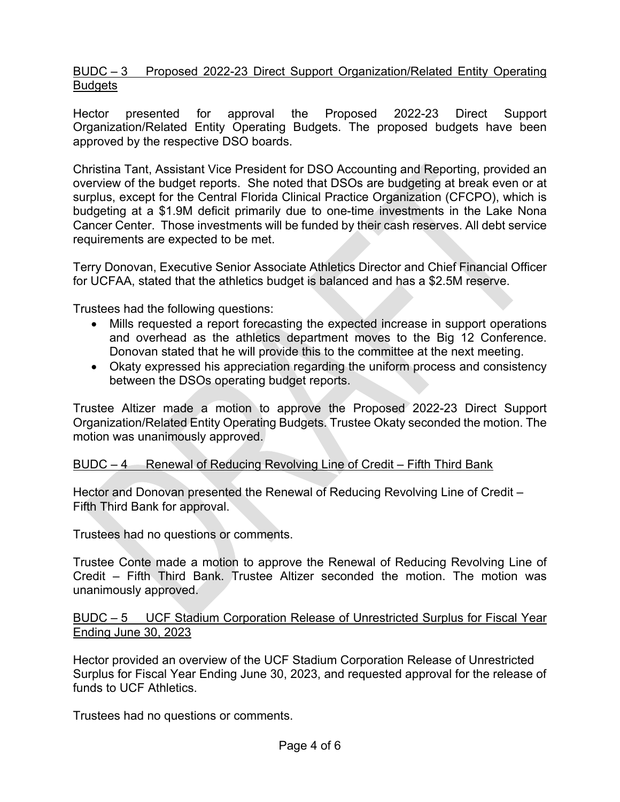BUDC – 3 Proposed 2022-23 Direct Support Organization/Related Entity Operating **Budgets** 

Hector presented for approval the Proposed 2022-23 Direct Support Organization/Related Entity Operating Budgets. The proposed budgets have been approved by the respective DSO boards.

Christina Tant, Assistant Vice President for DSO Accounting and Reporting, provided an overview of the budget reports. She noted that DSOs are budgeting at break even or at surplus, except for the Central Florida Clinical Practice Organization (CFCPO), which is budgeting at a \$1.9M deficit primarily due to one-time investments in the Lake Nona Cancer Center. Those investments will be funded by their cash reserves. All debt service requirements are expected to be met.

Terry Donovan, Executive Senior Associate Athletics Director and Chief Financial Officer for UCFAA, stated that the athletics budget is balanced and has a \$2.5M reserve.

Trustees had the following questions:

- Mills requested a report forecasting the expected increase in support operations and overhead as the athletics department moves to the Big 12 Conference. Donovan stated that he will provide this to the committee at the next meeting.
- Okaty expressed his appreciation regarding the uniform process and consistency between the DSOs operating budget reports.

Trustee Altizer made a motion to approve the Proposed 2022-23 Direct Support Organization/Related Entity Operating Budgets. Trustee Okaty seconded the motion. The motion was unanimously approved.

### BUDC – 4 Renewal of Reducing Revolving Line of Credit – Fifth Third Bank

Hector and Donovan presented the Renewal of Reducing Revolving Line of Credit – Fifth Third Bank for approval.

Trustees had no questions or comments.

Trustee Conte made a motion to approve the Renewal of Reducing Revolving Line of Credit – Fifth Third Bank. Trustee Altizer seconded the motion. The motion was unanimously approved.

BUDC – 5 UCF Stadium Corporation Release of Unrestricted Surplus for Fiscal Year Ending June 30, 2023

Hector provided an overview of the UCF Stadium Corporation Release of Unrestricted Surplus for Fiscal Year Ending June 30, 2023, and requested approval for the release of funds to UCF Athletics.

Trustees had no questions or comments.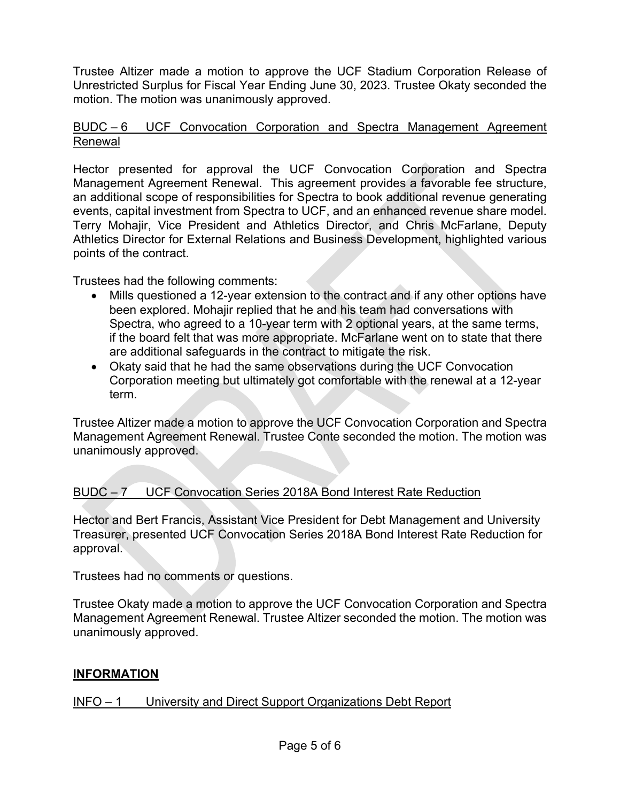Trustee Altizer made a motion to approve the UCF Stadium Corporation Release of Unrestricted Surplus for Fiscal Year Ending June 30, 2023. Trustee Okaty seconded the motion. The motion was unanimously approved.

### BUDC – 6 UCF Convocation Corporation and Spectra Management Agreement Renewal

Hector presented for approval the UCF Convocation Corporation and Spectra Management Agreement Renewal. This agreement provides a favorable fee structure, an additional scope of responsibilities for Spectra to book additional revenue generating events, capital investment from Spectra to UCF, and an enhanced revenue share model. Terry Mohajir, Vice President and Athletics Director, and Chris McFarlane, Deputy Athletics Director for External Relations and Business Development, highlighted various points of the contract.

Trustees had the following comments:

- Mills questioned a 12-year extension to the contract and if any other options have been explored. Mohajir replied that he and his team had conversations with Spectra, who agreed to a 10-year term with 2 optional years, at the same terms, if the board felt that was more appropriate. McFarlane went on to state that there are additional safeguards in the contract to mitigate the risk.
- Okaty said that he had the same observations during the UCF Convocation Corporation meeting but ultimately got comfortable with the renewal at a 12-year term.

Trustee Altizer made a motion to approve the UCF Convocation Corporation and Spectra Management Agreement Renewal. Trustee Conte seconded the motion. The motion was unanimously approved.

# BUDC – 7 UCF Convocation Series 2018A Bond Interest Rate Reduction

Hector and Bert Francis, Assistant Vice President for Debt Management and University Treasurer, presented UCF Convocation Series 2018A Bond Interest Rate Reduction for approval.

Trustees had no comments or questions.

Trustee Okaty made a motion to approve the UCF Convocation Corporation and Spectra Management Agreement Renewal. Trustee Altizer seconded the motion. The motion was unanimously approved.

### **INFORMATION**

### INFO – 1 University and Direct Support Organizations Debt Report